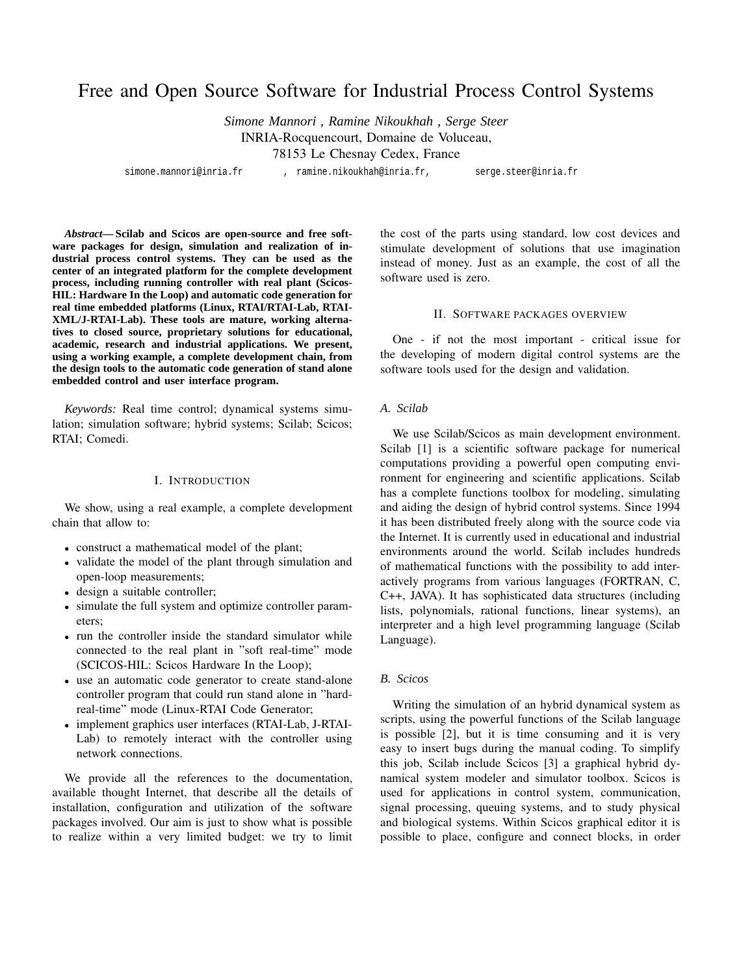# Free and Open Source Software for Industrial Process Control Systems

*Simone Mannori , Ramine Nikoukhah , Serge Steer* INRIA-Rocquencourt, Domaine de Voluceau, 78153 Le Chesnay Cedex, France

simone.mannori@inria.fr , ramine.nikoukhah@inria.fr, serge.steer@inria.fr

*Abstract***— Scilab and Scicos are open-source and free software packages for design, simulation and realization of industrial process control systems. They can be used as the center of an integrated platform for the complete development process, including running controller with real plant (Scicos-HIL: Hardware In the Loop) and automatic code generation for real time embedded platforms (Linux, RTAI/RTAI-Lab, RTAI-XML/J-RTAI-Lab). These tools are mature, working alternatives to closed source, proprietary solutions for educational, academic, research and industrial applications. We present, using a working example, a complete development chain, from the design tools to the automatic code generation of stand alone embedded control and user interface program.**

*Keywords:* Real time control; dynamical systems simulation; simulation software; hybrid systems; Scilab; Scicos; RTAI; Comedi.

#### I. INTRODUCTION

We show, using a real example, a complete development chain that allow to:

- construct a mathematical model of the plant;
- validate the model of the plant through simulation and open-loop measurements;
- design a suitable controller;
- simulate the full system and optimize controller parameters;
- run the controller inside the standard simulator while connected to the real plant in "soft real-time" mode (SCICOS-HIL: Scicos Hardware In the Loop);
- use an automatic code generator to create stand-alone controller program that could run stand alone in "hardreal-time" mode (Linux-RTAI Code Generator;
- implement graphics user interfaces (RTAI-Lab, J-RTAI-Lab) to remotely interact with the controller using network connections.

We provide all the references to the documentation, available thought Internet, that describe all the details of installation, configuration and utilization of the software packages involved. Our aim is just to show what is possible to realize within a very limited budget: we try to limit

the cost of the parts using standard, low cost devices and stimulate development of solutions that use imagination instead of money. Just as an example, the cost of all the software used is zero.

# II. SOFTWARE PACKAGES OVERVIEW

One - if not the most important - critical issue for the developing of modern digital control systems are the software tools used for the design and validation.

#### *A. Scilab*

We use Scilab/Scicos as main development environment. Scilab [1] is a scientific software package for numerical computations providing a powerful open computing environment for engineering and scientific applications. Scilab has a complete functions toolbox for modeling, simulating and aiding the design of hybrid control systems. Since 1994 it has been distributed freely along with the source code via the Internet. It is currently used in educational and industrial environments around the world. Scilab includes hundreds of mathematical functions with the possibility to add interactively programs from various languages (FORTRAN, C, C++, JAVA). It has sophisticated data structures (including lists, polynomials, rational functions, linear systems), an interpreter and a high level programming language (Scilab Language).

# *B. Scicos*

Writing the simulation of an hybrid dynamical system as scripts, using the powerful functions of the Scilab language is possible [2], but it is time consuming and it is very easy to insert bugs during the manual coding. To simplify this job, Scilab include Scicos [3] a graphical hybrid dynamical system modeler and simulator toolbox. Scicos is used for applications in control system, communication, signal processing, queuing systems, and to study physical and biological systems. Within Scicos graphical editor it is possible to place, configure and connect blocks, in order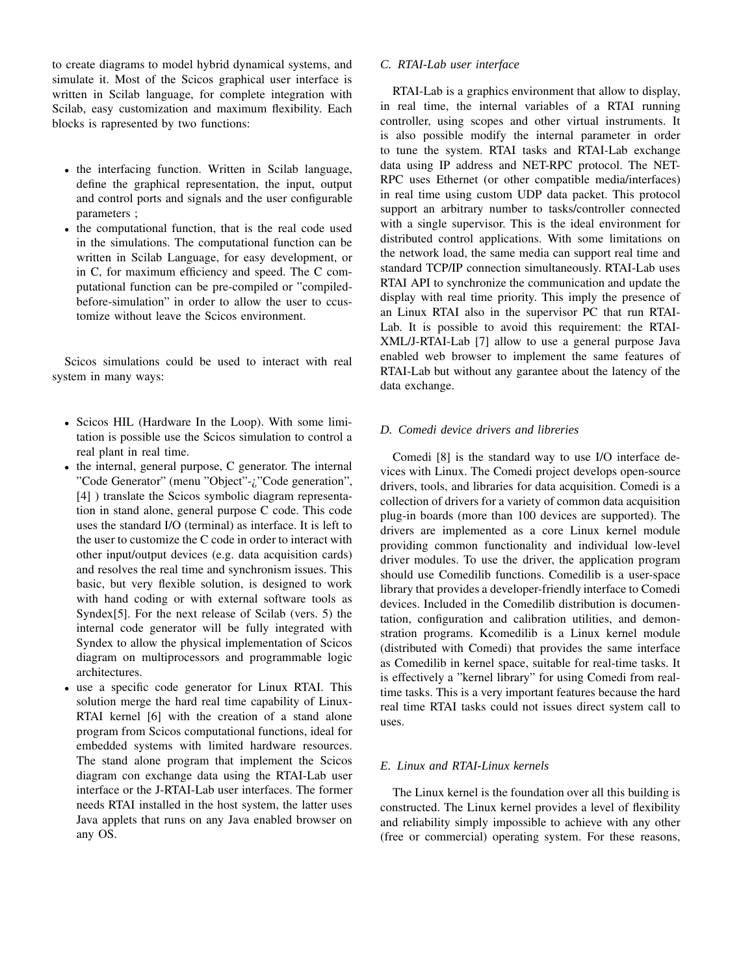to create diagrams to model hybrid dynamical systems, and simulate it. Most of the Scicos graphical user interface is written in Scilab language, for complete integration with Scilab, easy customization and maximum flexibility. Each blocks is rapresented by two functions:

- the interfacing function. Written in Scilab language, define the graphical representation, the input, output and control ports and signals and the user configurable parameters ;
- the computational function, that is the real code used in the simulations. The computational function can be written in Scilab Language, for easy development, or in C, for maximum efficiency and speed. The C computational function can be pre-compiled or "compiledbefore-simulation" in order to allow the user to ccustomize without leave the Scicos environment.

Scicos simulations could be used to interact with real system in many ways:

- Scicos HIL (Hardware In the Loop). With some limitation is possible use the Scicos simulation to control a real plant in real time.
- the internal, general purpose, C generator. The internal "Code Generator" (menu "Object"-¿"Code generation", [4] ) translate the Scicos symbolic diagram representation in stand alone, general purpose C code. This code uses the standard I/O (terminal) as interface. It is left to the user to customize the C code in order to interact with other input/output devices (e.g. data acquisition cards) and resolves the real time and synchronism issues. This basic, but very flexible solution, is designed to work with hand coding or with external software tools as Syndex[5]. For the next release of Scilab (vers. 5) the internal code generator will be fully integrated with Syndex to allow the physical implementation of Scicos diagram on multiprocessors and programmable logic architectures.
- use a specific code generator for Linux RTAI. This solution merge the hard real time capability of Linux-RTAI kernel [6] with the creation of a stand alone program from Scicos computational functions, ideal for embedded systems with limited hardware resources. The stand alone program that implement the Scicos diagram con exchange data using the RTAI-Lab user interface or the J-RTAI-Lab user interfaces. The former needs RTAI installed in the host system, the latter uses Java applets that runs on any Java enabled browser on any OS.

# *C. RTAI-Lab user interface*

RTAI-Lab is a graphics environment that allow to display, in real time, the internal variables of a RTAI running controller, using scopes and other virtual instruments. It is also possible modify the internal parameter in order to tune the system. RTAI tasks and RTAI-Lab exchange data using IP address and NET-RPC protocol. The NET-RPC uses Ethernet (or other compatible media/interfaces) in real time using custom UDP data packet. This protocol support an arbitrary number to tasks/controller connected with a single supervisor. This is the ideal environment for distributed control applications. With some limitations on the network load, the same media can support real time and standard TCP/IP connection simultaneously. RTAI-Lab uses RTAI API to synchronize the communication and update the display with real time priority. This imply the presence of an Linux RTAI also in the supervisor PC that run RTAI-Lab. It is possible to avoid this requirement: the RTAI-XML/J-RTAI-Lab [7] allow to use a general purpose Java enabled web browser to implement the same features of RTAI-Lab but without any garantee about the latency of the data exchange.

# *D. Comedi device drivers and libreries*

Comedi [8] is the standard way to use I/O interface devices with Linux. The Comedi project develops open-source drivers, tools, and libraries for data acquisition. Comedi is a collection of drivers for a variety of common data acquisition plug-in boards (more than 100 devices are supported). The drivers are implemented as a core Linux kernel module providing common functionality and individual low-level driver modules. To use the driver, the application program should use Comedilib functions. Comedilib is a user-space library that provides a developer-friendly interface to Comedi devices. Included in the Comedilib distribution is documentation, configuration and calibration utilities, and demonstration programs. Kcomedilib is a Linux kernel module (distributed with Comedi) that provides the same interface as Comedilib in kernel space, suitable for real-time tasks. It is effectively a "kernel library" for using Comedi from realtime tasks. This is a very important features because the hard real time RTAI tasks could not issues direct system call to uses.

# *E. Linux and RTAI-Linux kernels*

The Linux kernel is the foundation over all this building is constructed. The Linux kernel provides a level of flexibility and reliability simply impossible to achieve with any other (free or commercial) operating system. For these reasons,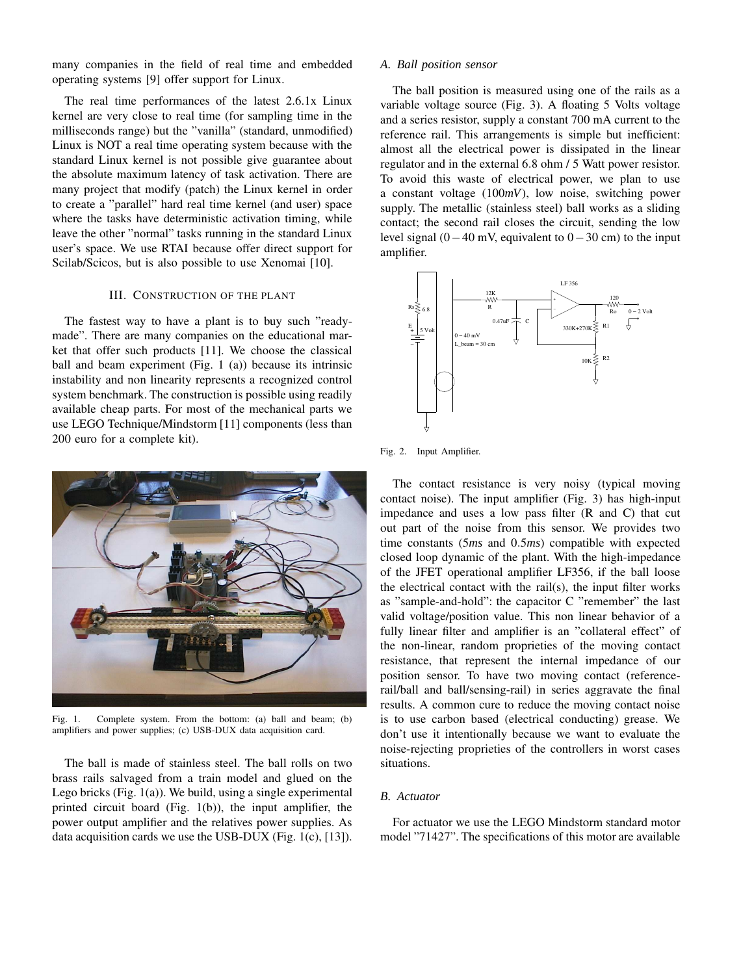many companies in the field of real time and embedded operating systems [9] offer support for Linux.

The real time performances of the latest 2.6.1x Linux kernel are very close to real time (for sampling time in the milliseconds range) but the "vanilla" (standard, unmodified) Linux is NOT a real time operating system because with the standard Linux kernel is not possible give guarantee about the absolute maximum latency of task activation. There are many project that modify (patch) the Linux kernel in order to create a "parallel" hard real time kernel (and user) space where the tasks have deterministic activation timing, while leave the other "normal" tasks running in the standard Linux user's space. We use RTAI because offer direct support for Scilab/Scicos, but is also possible to use Xenomai [10].

#### III. CONSTRUCTION OF THE PLANT

The fastest way to have a plant is to buy such "readymade". There are many companies on the educational market that offer such products [11]. We choose the classical ball and beam experiment (Fig. 1 (a)) because its intrinsic instability and non linearity represents a recognized control system benchmark. The construction is possible using readily available cheap parts. For most of the mechanical parts we use LEGO Technique/Mindstorm [11] components (less than 200 euro for a complete kit).



Fig. 1. Complete system. From the bottom: (a) ball and beam; (b) amplifiers and power supplies; (c) USB-DUX data acquisition card.

The ball is made of stainless steel. The ball rolls on two brass rails salvaged from a train model and glued on the Lego bricks (Fig. 1(a)). We build, using a single experimental printed circuit board (Fig. 1(b)), the input amplifier, the power output amplifier and the relatives power supplies. As data acquisition cards we use the USB-DUX (Fig. 1(c), [13]).

# *A. Ball position sensor*

The ball position is measured using one of the rails as a variable voltage source (Fig. 3). A floating 5 Volts voltage and a series resistor, supply a constant 700 mA current to the reference rail. This arrangements is simple but inefficient: almost all the electrical power is dissipated in the linear regulator and in the external 6.8 ohm / 5 Watt power resistor. To avoid this waste of electrical power, we plan to use a constant voltage (100*mV*), low noise, switching power supply. The metallic (stainless steel) ball works as a sliding contact; the second rail closes the circuit, sending the low level signal  $(0-40 \text{ mV})$ , equivalent to  $0-30 \text{ cm}$ ) to the input amplifier.



Fig. 2. Input Amplifier.

The contact resistance is very noisy (typical moving contact noise). The input amplifier (Fig. 3) has high-input impedance and uses a low pass filter (R and C) that cut out part of the noise from this sensor. We provides two time constants (5*ms* and 0.5*ms*) compatible with expected closed loop dynamic of the plant. With the high-impedance of the JFET operational amplifier LF356, if the ball loose the electrical contact with the rail(s), the input filter works as "sample-and-hold": the capacitor C "remember" the last valid voltage/position value. This non linear behavior of a fully linear filter and amplifier is an "collateral effect" of the non-linear, random proprieties of the moving contact resistance, that represent the internal impedance of our position sensor. To have two moving contact (referencerail/ball and ball/sensing-rail) in series aggravate the final results. A common cure to reduce the moving contact noise is to use carbon based (electrical conducting) grease. We don't use it intentionally because we want to evaluate the noise-rejecting proprieties of the controllers in worst cases situations.

#### *B. Actuator*

For actuator we use the LEGO Mindstorm standard motor model "71427". The specifications of this motor are available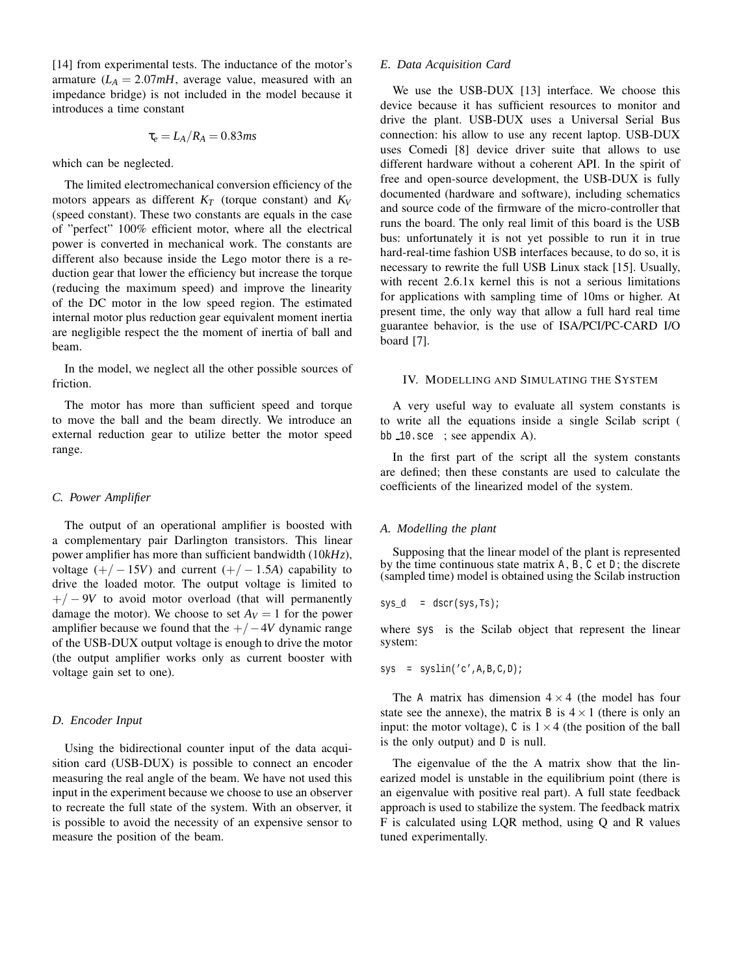[14] from experimental tests. The inductance of the motor's armature  $(L_A = 2.07mH)$ , average value, measured with an impedance bridge) is not included in the model because it introduces a time constant

$$
\tau_e = L_A/R_A = 0.83ms
$$

which can be neglected.

The limited electromechanical conversion efficiency of the motors appears as different *K<sup>T</sup>* (torque constant) and *K<sup>V</sup>* (speed constant). These two constants are equals in the case of "perfect" 100% efficient motor, where all the electrical power is converted in mechanical work. The constants are different also because inside the Lego motor there is a reduction gear that lower the efficiency but increase the torque (reducing the maximum speed) and improve the linearity of the DC motor in the low speed region. The estimated internal motor plus reduction gear equivalent moment inertia are negligible respect the the moment of inertia of ball and beam.

In the model, we neglect all the other possible sources of friction.

The motor has more than sufficient speed and torque to move the ball and the beam directly. We introduce an external reduction gear to utilize better the motor speed range.

# *C. Power Amplifier*

The output of an operational amplifier is boosted with a complementary pair Darlington transistors. This linear power amplifier has more than sufficient bandwidth (10*kHz*), voltage  $(+/-15V)$  and current  $(+/-1.5A)$  capability to drive the loaded motor. The output voltage is limited to  $+/-9V$  to avoid motor overload (that will permanently damage the motor). We choose to set  $A_V = 1$  for the power amplifier because we found that the +/−4*V* dynamic range of the USB-DUX output voltage is enough to drive the motor (the output amplifier works only as current booster with voltage gain set to one).

## *D. Encoder Input*

Using the bidirectional counter input of the data acquisition card (USB-DUX) is possible to connect an encoder measuring the real angle of the beam. We have not used this input in the experiment because we choose to use an observer to recreate the full state of the system. With an observer, it is possible to avoid the necessity of an expensive sensor to measure the position of the beam.

#### *E. Data Acquisition Card*

We use the USB-DUX [13] interface. We choose this device because it has sufficient resources to monitor and drive the plant. USB-DUX uses a Universal Serial Bus connection: his allow to use any recent laptop. USB-DUX uses Comedi [8] device driver suite that allows to use different hardware without a coherent API. In the spirit of free and open-source development, the USB-DUX is fully documented (hardware and software), including schematics and source code of the firmware of the micro-controller that runs the board. The only real limit of this board is the USB bus: unfortunately it is not yet possible to run it in true hard-real-time fashion USB interfaces because, to do so, it is necessary to rewrite the full USB Linux stack [15]. Usually, with recent 2.6.1x kernel this is not a serious limitations for applications with sampling time of 10ms or higher. At present time, the only way that allow a full hard real time guarantee behavior, is the use of ISA/PCI/PC-CARD I/O board [7].

# IV. MODELLING AND SIMULATING THE SYSTEM

A very useful way to evaluate all system constants is to write all the equations inside a single Scilab script ( bb 10.sce ; see appendix A).

In the first part of the script all the system constants are defined; then these constants are used to calculate the coefficients of the linearized model of the system.

# *A. Modelling the plant*

Supposing that the linear model of the plant is represented by the time continuous state matrix  $A$ ,  $B$ ,  $C$  et  $D$ ; the discrete (sampled time) model is obtained using the Scilab instruction

$$
sys_d = dscrs(sys,Ts);
$$

where sys is the Scilab object that represent the linear system:

$$
sys = syslin('c', A, B, C, D);
$$

The A matrix has dimension  $4 \times 4$  (the model has four state see the annexe), the matrix B is  $4 \times 1$  (there is only an input: the motor voltage), C is  $1 \times 4$  (the position of the ball is the only output) and D is null.

The eigenvalue of the the A matrix show that the linearized model is unstable in the equilibrium point (there is an eigenvalue with positive real part). A full state feedback approach is used to stabilize the system. The feedback matrix F is calculated using LQR method, using Q and R values tuned experimentally.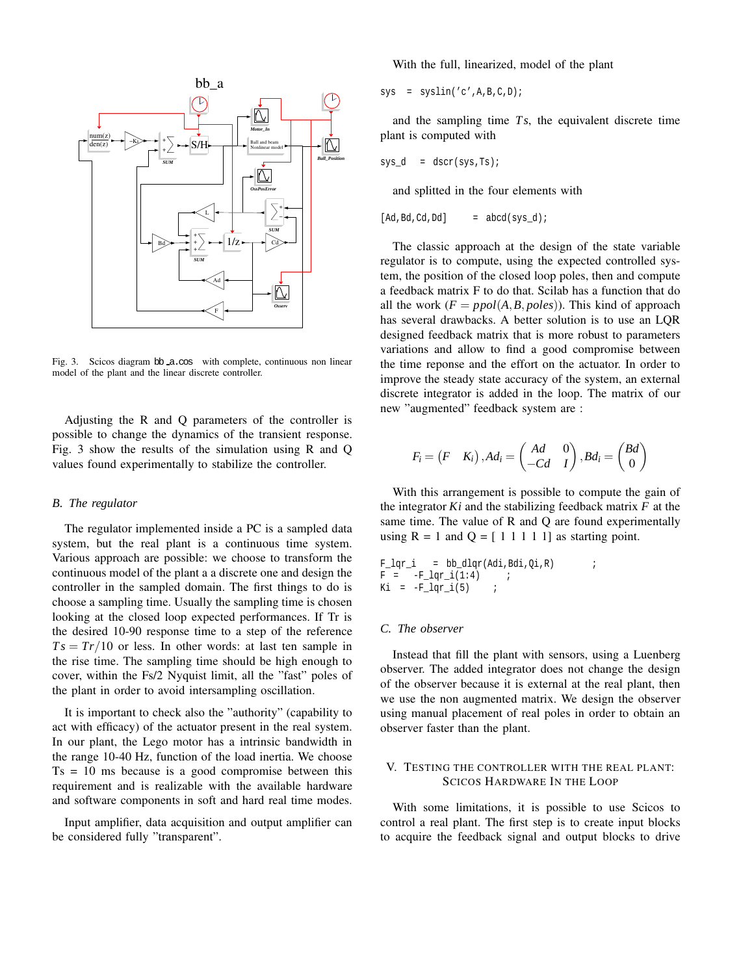

Fig. 3. Scicos diagram bb a.cos with complete, continuous non linear model of the plant and the linear discrete controller.

Adjusting the R and Q parameters of the controller is possible to change the dynamics of the transient response. Fig. 3 show the results of the simulation using R and Q values found experimentally to stabilize the controller.

#### *B. The regulator*

The regulator implemented inside a PC is a sampled data system, but the real plant is a continuous time system. Various approach are possible: we choose to transform the continuous model of the plant a a discrete one and design the controller in the sampled domain. The first things to do is choose a sampling time. Usually the sampling time is chosen looking at the closed loop expected performances. If Tr is the desired 10-90 response time to a step of the reference  $Ts = Tr/10$  or less. In other words: at last ten sample in the rise time. The sampling time should be high enough to cover, within the Fs/2 Nyquist limit, all the "fast" poles of the plant in order to avoid intersampling oscillation.

It is important to check also the "authority" (capability to act with efficacy) of the actuator present in the real system. In our plant, the Lego motor has a intrinsic bandwidth in the range 10-40 Hz, function of the load inertia. We choose  $Ts = 10$  ms because is a good compromise between this requirement and is realizable with the available hardware and software components in soft and hard real time modes.

Input amplifier, data acquisition and output amplifier can be considered fully "transparent".

With the full, linearized, model of the plant

 $sys = syslin('c', A, B, C, D);$ 

and the sampling time *Ts*, the equivalent discrete time plant is computed with

$$
sys_d = dscrs(sys,Ts);
$$

and splitted in the four elements with

$$
[Ad, Bd, Cd, Dd] = abcd(sys_d);
$$

The classic approach at the design of the state variable regulator is to compute, using the expected controlled system, the position of the closed loop poles, then and compute a feedback matrix F to do that. Scilab has a function that do all the work  $(F = ppol(A, B, poles)$ ). This kind of approach has several drawbacks. A better solution is to use an LQR designed feedback matrix that is more robust to parameters variations and allow to find a good compromise between the time reponse and the effort on the actuator. In order to improve the steady state accuracy of the system, an external discrete integrator is added in the loop. The matrix of our new "augmented" feedback system are :

$$
F_i = (F \quad K_i), Ad_i = \begin{pmatrix} Ad & 0 \\ -Cd & I \end{pmatrix}, Bd_i = \begin{pmatrix} Bd \\ 0 \end{pmatrix}
$$

With this arrangement is possible to compute the gain of the integrator *Ki* and the stabilizing feedback matrix *F* at the same time. The value of R and Q are found experimentally using  $R = 1$  and  $Q = \begin{bmatrix} 1 & 1 & 1 & 1 \\ 1 & 1 & 1 & 1 \end{bmatrix}$  as starting point.

 $F_lqr_i = bb_dlqr(Adi, Bdi, Qi, R)$  $F = -F_{\text{eqr}} i(1:4)$  ;<br>  $Ki = -F_{\text{eqr}} i(5)$  ;  $Ki = -F_lqr_i(5)$ 

# *C. The observer*

Instead that fill the plant with sensors, using a Luenberg observer. The added integrator does not change the design of the observer because it is external at the real plant, then we use the non augmented matrix. We design the observer using manual placement of real poles in order to obtain an observer faster than the plant.

# V. TESTING THE CONTROLLER WITH THE REAL PLANT: SCICOS HARDWARE IN THE LOOP

With some limitations, it is possible to use Scicos to control a real plant. The first step is to create input blocks to acquire the feedback signal and output blocks to drive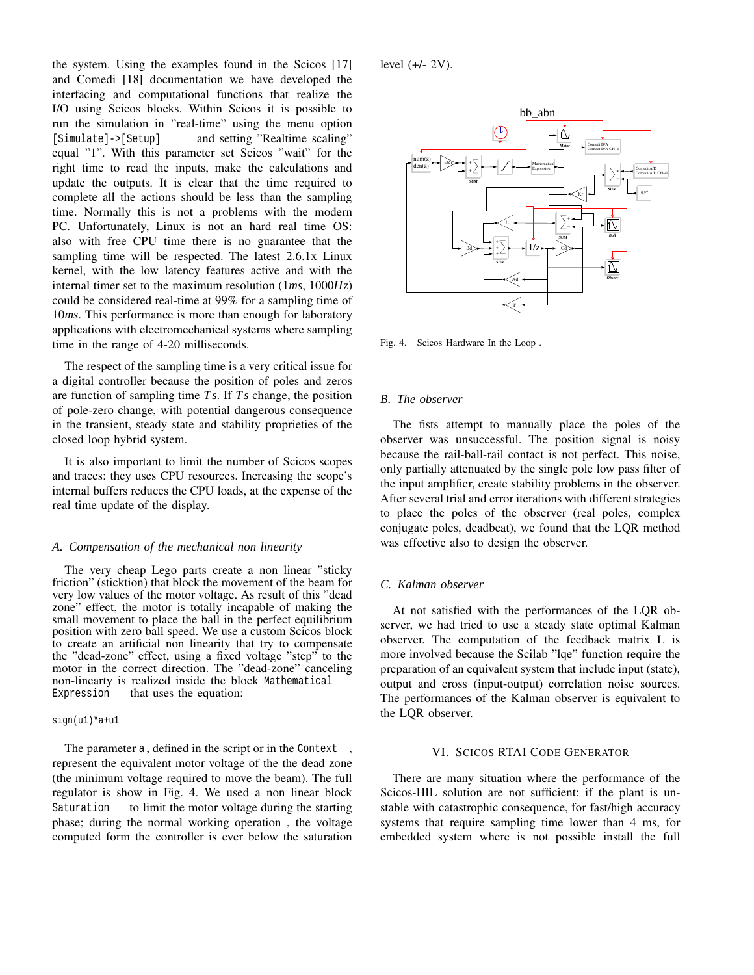the system. Using the examples found in the Scicos [17] and Comedi [18] documentation we have developed the interfacing and computational functions that realize the I/O using Scicos blocks. Within Scicos it is possible to run the simulation in "real-time" using the menu option [Simulate]->[Setup] and setting "Realtime scaling" equal "1". With this parameter set Scicos "wait" for the right time to read the inputs, make the calculations and update the outputs. It is clear that the time required to complete all the actions should be less than the sampling time. Normally this is not a problems with the modern PC. Unfortunately, Linux is not an hard real time OS: also with free CPU time there is no guarantee that the sampling time will be respected. The latest 2.6.1x Linux kernel, with the low latency features active and with the internal timer set to the maximum resolution (1*ms*, 1000*Hz*) could be considered real-time at 99% for a sampling time of 10*ms*. This performance is more than enough for laboratory applications with electromechanical systems where sampling time in the range of 4-20 milliseconds.

The respect of the sampling time is a very critical issue for a digital controller because the position of poles and zeros are function of sampling time *Ts*. If *Ts* change, the position of pole-zero change, with potential dangerous consequence in the transient, steady state and stability proprieties of the closed loop hybrid system.

It is also important to limit the number of Scicos scopes and traces: they uses CPU resources. Increasing the scope's internal buffers reduces the CPU loads, at the expense of the real time update of the display.

#### *A. Compensation of the mechanical non linearity*

The very cheap Lego parts create a non linear "sticky friction" (sticktion) that block the movement of the beam for very low values of the motor voltage. As result of this "dead zone" effect, the motor is totally incapable of making the small movement to place the ball in the perfect equilibrium position with zero ball speed. We use a custom Scicos block to create an artificial non linearity that try to compensate the "dead-zone" effect, using a fixed voltage "step" to the motor in the correct direction. The "dead-zone" canceling non-linearty is realized inside the block Mathematical Expression that uses the equation:

#### sign(u1)\*a+u1

The parameter a, defined in the script or in the Context, represent the equivalent motor voltage of the the dead zone (the minimum voltage required to move the beam). The full regulator is show in Fig. 4. We used a non linear block Saturation to limit the motor voltage during the starting phase; during the normal working operation , the voltage computed form the controller is ever below the saturation level  $(+/- 2V)$ .



Fig. 4. Scicos Hardware In the Loop .

#### *B. The observer*

The fists attempt to manually place the poles of the observer was unsuccessful. The position signal is noisy because the rail-ball-rail contact is not perfect. This noise, only partially attenuated by the single pole low pass filter of the input amplifier, create stability problems in the observer. After several trial and error iterations with different strategies to place the poles of the observer (real poles, complex conjugate poles, deadbeat), we found that the LQR method was effective also to design the observer.

## *C. Kalman observer*

At not satisfied with the performances of the LQR observer, we had tried to use a steady state optimal Kalman observer. The computation of the feedback matrix L is more involved because the Scilab "lqe" function require the preparation of an equivalent system that include input (state), output and cross (input-output) correlation noise sources. The performances of the Kalman observer is equivalent to the LQR observer.

## VI. SCICOS RTAI CODE GENERATOR

There are many situation where the performance of the Scicos-HIL solution are not sufficient: if the plant is unstable with catastrophic consequence, for fast/high accuracy systems that require sampling time lower than 4 ms, for embedded system where is not possible install the full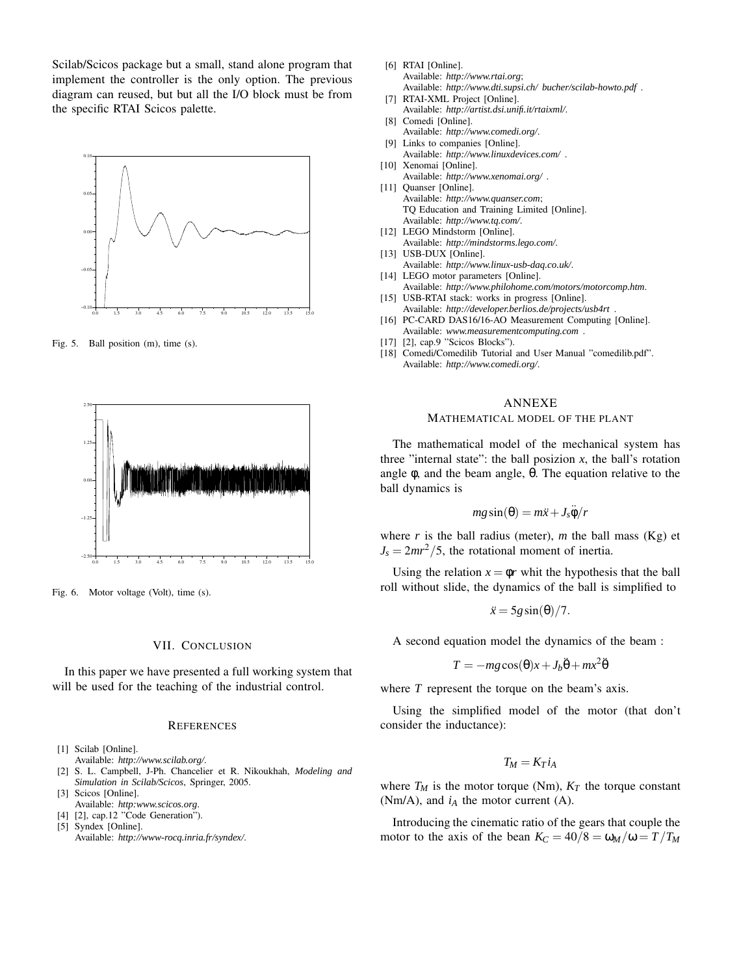Scilab/Scicos package but a small, stand alone program that implement the controller is the only option. The previous diagram can reused, but but all the I/O block must be from the specific RTAI Scicos palette.



Fig. 5. Ball position (m), time (s).



Fig. 6. Motor voltage (Volt), time (s).

#### VII. CONCLUSION

In this paper we have presented a full working system that will be used for the teaching of the industrial control.

#### **REFERENCES**

- [1] Scilab [Online].
- Available: *http://www.scilab.org/*.
- [2] S. L. Campbell, J-Ph. Chancelier et R. Nikoukhah, *Modeling and Simulation in Scilab/Scicos*, Springer, 2005.
- [3] Scicos [Online]. Available: *http:www.scicos.org*.
- [4] [2], cap.12 "Code Generation").
- [5] Syndex [Online].

Available: *http://www-rocq.inria.fr/syndex/*.

- [6] RTAI [Online]. Available: *http://www.rtai.org*; Available: *http://www.dti.supsi.ch/ bucher/scilab-howto.pdf* .
- [7] RTAI-XML Project [Online]. Available: *http://artist.dsi.unifi.it/rtaixml/*.
- [8] Comedi [Online]. Available: *http://www.comedi.org/*.
- [9] Links to companies [Online].
- Available: *http://www.linuxdevices.com/* . [10] Xenomai [Online].
- Available: *http://www.xenomai.org/* .
- [11] Quanser [Online]. Available: *http://www.quanser.com*; TQ Education and Training Limited [Online]. Available: *http://www.tq.com/*.
- [12] LEGO Mindstorm [Online]. Available: *http://mindstorms.lego.com/*.
- [13] USB-DUX [Online]. Available: *http://www.linux-usb-daq.co.uk/*.
- [14] LEGO motor parameters [Online].
- Available: *http://www.philohome.com/motors/motorcomp.htm*. [15] USB-RTAI stack: works in progress [Online].
- Available: *http://developer.berlios.de/projects/usb4rt* .
- [16] PC-CARD DAS16/16-AO Measurement Computing [Online]. Available: *www.measurementcomputing.com* . [17] [2], cap.9 "Scicos Blocks").
- [18] Comedi/Comedilib Tutorial and User Manual "comedilib.pdf".
- Available: *http://www.comedi.org/*.

#### ANNEXE

#### MATHEMATICAL MODEL OF THE PLANT

The mathematical model of the mechanical system has three "internal state": the ball posizion  $x$ , the ball's rotation angle  $\phi$ , and the beam angle,  $\theta$ . The equation relative to the ball dynamics is

$$
mg\sin(\theta) = m\ddot{x} + J_s\ddot{\phi}/r
$$

where  $r$  is the ball radius (meter),  $m$  the ball mass (Kg) et  $J_s = 2mr^2/5$ , the rotational moment of inertia.

Using the relation  $x = \phi r$  whit the hypothesis that the ball roll without slide, the dynamics of the ball is simplified to

$$
\ddot{x} = 5g\sin(\theta)/7.
$$

A second equation model the dynamics of the beam :

$$
T = -mg\cos(\theta)x + J_b\ddot{\theta} + mx^2\ddot{\theta}
$$

where *T* represent the torque on the beam's axis.

Using the simplified model of the motor (that don't consider the inductance):

$$
T_M=K_Ti_A
$$

where  $T_M$  is the motor torque (Nm),  $K_T$  the torque constant (Nm/A), and  $i_A$  the motor current (A).

Introducing the cinematic ratio of the gears that couple the motor to the axis of the bean  $K_C = 40/8 = \omega_M/\omega = T/T_M$